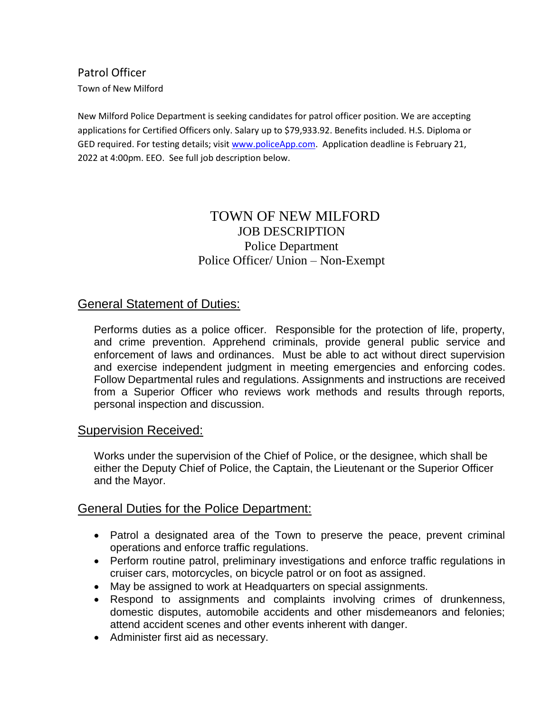Patrol Officer Town of New Milford

New Milford Police Department is seeking candidates for patrol officer position. We are accepting applications for Certified Officers only. Salary up to \$79,933.92. Benefits included. H.S. Diploma or GED required. For testing details; visi[t www.policeApp.com.](http://www.policeapp.com/) Application deadline is February 21, 2022 at 4:00pm. EEO. See full job description below.

# TOWN OF NEW MILFORD JOB DESCRIPTION Police Department Police Officer/ Union – Non-Exempt

### General Statement of Duties:

Performs duties as a police officer. Responsible for the protection of life, property, and crime prevention. Apprehend criminals, provide general public service and enforcement of laws and ordinances. Must be able to act without direct supervision and exercise independent judgment in meeting emergencies and enforcing codes. Follow Departmental rules and regulations. Assignments and instructions are received from a Superior Officer who reviews work methods and results through reports, personal inspection and discussion.

#### Supervision Received:

Works under the supervision of the Chief of Police, or the designee, which shall be either the Deputy Chief of Police, the Captain, the Lieutenant or the Superior Officer and the Mayor.

### General Duties for the Police Department:

- Patrol a designated area of the Town to preserve the peace, prevent criminal operations and enforce traffic regulations.
- Perform routine patrol, preliminary investigations and enforce traffic regulations in cruiser cars, motorcycles, on bicycle patrol or on foot as assigned.
- May be assigned to work at Headquarters on special assignments.
- Respond to assignments and complaints involving crimes of drunkenness, domestic disputes, automobile accidents and other misdemeanors and felonies; attend accident scenes and other events inherent with danger.
- Administer first aid as necessary.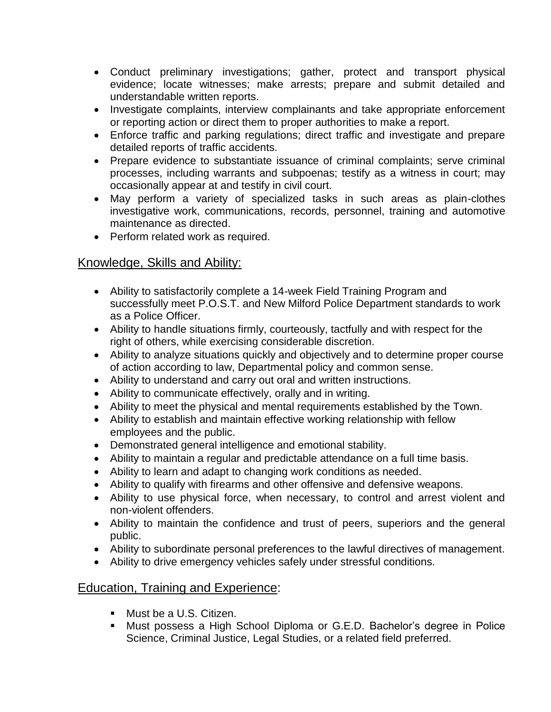- Conduct preliminary investigations; gather, protect and transport physical evidence; locate witnesses; make arrests; prepare and submit detailed and understandable written reports.
- Investigate complaints, interview complainants and take appropriate enforcement or reporting action or direct them to proper authorities to make a report.
- Enforce traffic and parking regulations; direct traffic and investigate and prepare detailed reports of traffic accidents.
- Prepare evidence to substantiate issuance of criminal complaints; serve criminal processes, including warrants and subpoenas; testify as a witness in court; may occasionally appear at and testify in civil court.
- May perform a variety of specialized tasks in such areas as plain-clothes investigative work, communications, records, personnel, training and automotive maintenance as directed.
- Perform related work as required.

### Knowledge, Skills and Ability:

- Ability to satisfactorily complete a 14-week Field Training Program and successfully meet P.O.S.T. and New Milford Police Department standards to work as a Police Officer.
- Ability to handle situations firmly, courteously, tactfully and with respect for the right of others, while exercising considerable discretion.
- Ability to analyze situations quickly and objectively and to determine proper course of action according to law, Departmental policy and common sense.
- Ability to understand and carry out oral and written instructions.
- Ability to communicate effectively, orally and in writing.
- Ability to meet the physical and mental requirements established by the Town.
- Ability to establish and maintain effective working relationship with fellow employees and the public.
- Demonstrated general intelligence and emotional stability.
- Ability to maintain a regular and predictable attendance on a full time basis.
- Ability to learn and adapt to changing work conditions as needed.
- Ability to qualify with firearms and other offensive and defensive weapons.
- Ability to use physical force, when necessary, to control and arrest violent and non-violent offenders.
- Ability to maintain the confidence and trust of peers, superiors and the general public.
- Ability to subordinate personal preferences to the lawful directives of management.
- Ability to drive emergency vehicles safely under stressful conditions.

## Education, Training and Experience:

- **Must be a U.S. Citizen.**
- Must possess a High School Diploma or G.E.D. Bachelor's degree in Police Science, Criminal Justice, Legal Studies, or a related field preferred.